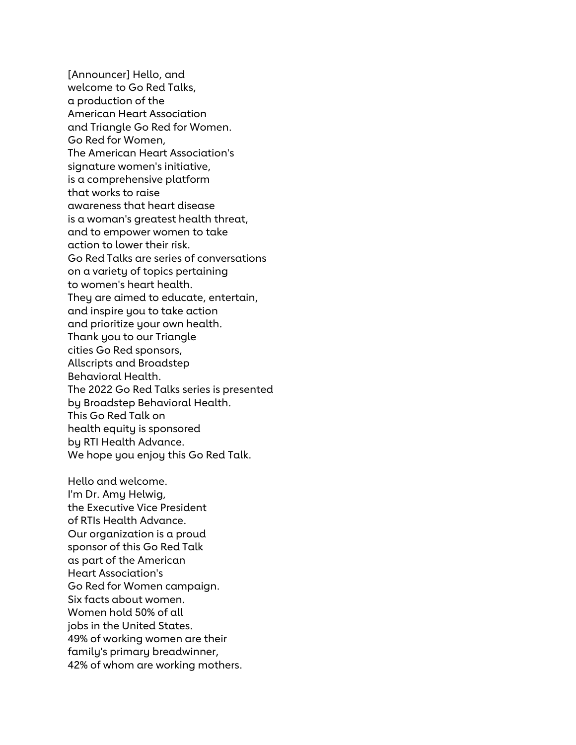[Announcer] Hello, and welcome to Go Red Talks, a production of the American Heart Association and Triangle Go Red for Women. Go Red for Women, The American Heart Association's signature women's initiative, is a comprehensive platform that works to raise awareness that heart disease is a woman's greatest health threat, and to empower women to take action to lower their risk. Go Red Talks are series of conversations on a variety of topics pertaining to women's heart health. They are aimed to educate, entertain, and inspire you to take action and prioritize your own health. Thank you to our Triangle cities Go Red sponsors, Allscripts and Broadstep Behavioral Health. The 2022 Go Red Talks series is presented by Broadstep Behavioral Health. This Go Red Talk on health equity is sponsored by RTI Health Advance. We hope you enjoy this Go Red Talk.

Hello and welcome. I'm Dr. Amy Helwig, the Executive Vice President of RTIs Health Advance. Our organization is a proud sponsor of this Go Red Talk as part of the American Heart Association's Go Red for Women campaign. Six facts about women. Women hold 50% of all jobs in the United States. 49% of working women are their family's primary breadwinner, 42% of whom are working mothers.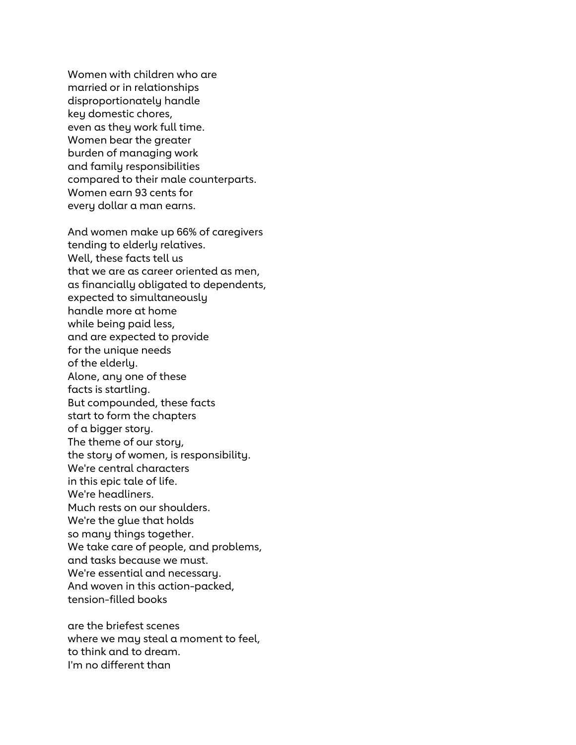Women with children who are married or in relationships disproportionately handle key domestic chores, even as they work full time. Women bear the greater burden of managing work and family responsibilities compared to their male counterparts. Women earn 93 cents for every dollar a man earns.

And women make up 66% of caregivers tending to elderly relatives. Well, these facts tell us that we are as career oriented as men, as financially obligated to dependents, expected to simultaneously handle more at home while being paid less, and are expected to provide for the unique needs of the elderly. Alone, any one of these facts is startling. But compounded, these facts start to form the chapters of a bigger story. The theme of our story, the story of women, is responsibility. We're central characters in this epic tale of life. We're headliners. Much rests on our shoulders. We're the glue that holds so many things together. We take care of people, and problems, and tasks because we must. We're essential and necessary. And woven in this action-packed, tension-filled books

are the briefest scenes where we may steal a moment to feel, to think and to dream. I'm no different than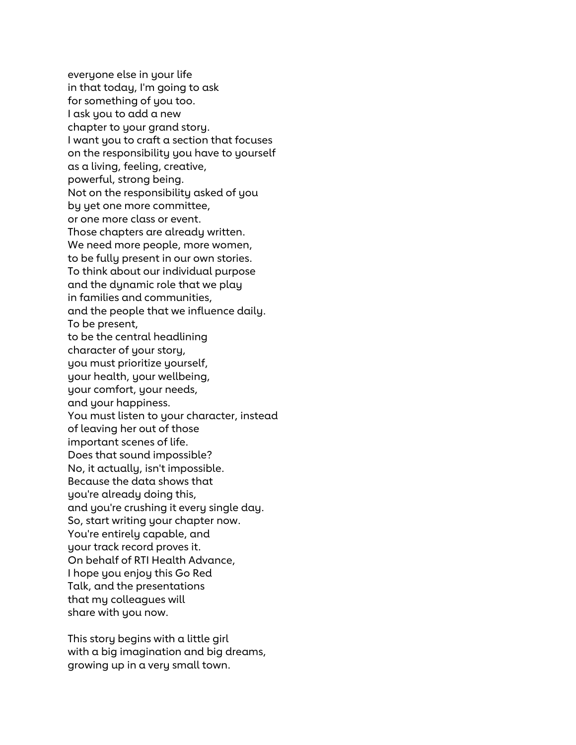everyone else in your life in that today, I'm going to ask for something of you too. I ask you to add a new chapter to your grand story. I want you to craft a section that focuses on the responsibility you have to yourself as a living, feeling, creative, powerful, strong being. Not on the responsibility asked of you by yet one more committee, or one more class or event. Those chapters are already written. We need more people, more women, to be fully present in our own stories. To think about our individual purpose and the dynamic role that we play in families and communities, and the people that we influence daily. To be present, to be the central headlining character of your story, you must prioritize yourself, your health, your wellbeing, your comfort, your needs, and your happiness. You must listen to your character, instead of leaving her out of those important scenes of life. Does that sound impossible? No, it actually, isn't impossible. Because the data shows that you're already doing this, and you're crushing it every single day. So, start writing your chapter now. You're entirely capable, and your track record proves it. On behalf of RTI Health Advance, I hope you enjoy this Go Red Talk, and the presentations that my colleagues will share with you now.

This story begins with a little girl with a big imagination and big dreams, growing up in a very small town.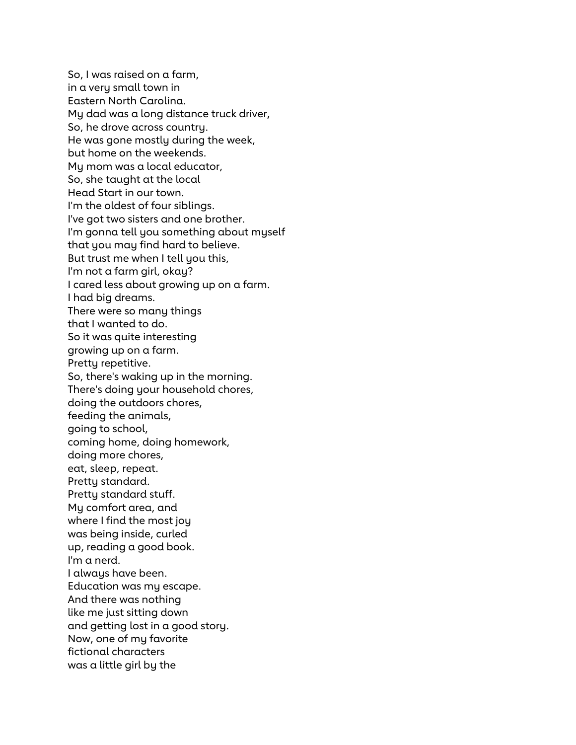So, I was raised on a farm, in a very small town in Eastern North Carolina. My dad was a long distance truck driver, So, he drove across country. He was gone mostly during the week, but home on the weekends. My mom was a local educator, So, she taught at the local Head Start in our town. I'm the oldest of four siblings. I've got two sisters and one brother. I'm gonna tell you something about myself that you may find hard to believe. But trust me when I tell you this, I'm not a farm girl, okay? I cared less about growing up on a farm. I had big dreams. There were so many things that I wanted to do. So it was quite interesting growing up on a farm. Pretty repetitive. So, there's waking up in the morning. There's doing your household chores, doing the outdoors chores, feeding the animals, going to school, coming home, doing homework, doing more chores, eat, sleep, repeat. Pretty standard. Pretty standard stuff. My comfort area, and where I find the most joy was being inside, curled up, reading a good book. I'm a nerd. I always have been. Education was my escape. And there was nothing like me just sitting down and getting lost in a good story. Now, one of my favorite fictional characters was a little girl by the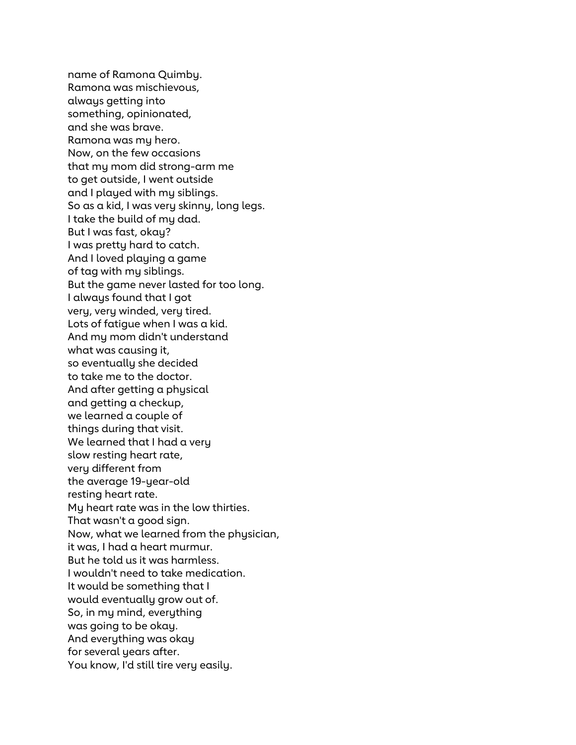name of Ramona Quimby. Ramona was mischievous, always getting into something, opinionated, and she was brave. Ramona was my hero. Now, on the few occasions that my mom did strong-arm me to get outside, I went outside and I played with my siblings. So as a kid, I was very skinny, long legs. I take the build of my dad. But I was fast, okay? I was pretty hard to catch. And I loved playing a game of tag with my siblings. But the game never lasted for too long. I always found that I got very, very winded, very tired. Lots of fatigue when I was a kid. And my mom didn't understand what was causing it, so eventually she decided to take me to the doctor. And after getting a physical and getting a checkup, we learned a couple of things during that visit. We learned that I had a very slow resting heart rate, very different from the average 19-year-old resting heart rate. My heart rate was in the low thirties. That wasn't a good sign. Now, what we learned from the physician, it was, I had a heart murmur. But he told us it was harmless. I wouldn't need to take medication. It would be something that I would eventually grow out of. So, in my mind, everything was going to be okay. And everything was okay for several years after. You know, I'd still tire very easily.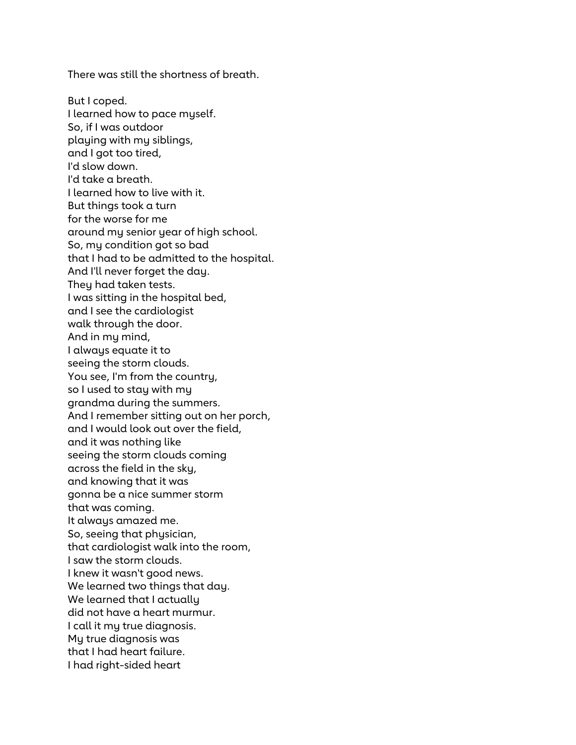There was still the shortness of breath.

But I coped. I learned how to pace myself. So, if I was outdoor playing with my siblings, and I got too tired, I'd slow down. I'd take a breath. I learned how to live with it. But things took a turn for the worse for me around my senior year of high school. So, my condition got so bad that I had to be admitted to the hospital. And I'll never forget the day. They had taken tests. I was sitting in the hospital bed, and I see the cardiologist walk through the door. And in my mind, I always equate it to seeing the storm clouds. You see, I'm from the country, so I used to stay with my grandma during the summers. And I remember sitting out on her porch, and I would look out over the field, and it was nothing like seeing the storm clouds coming across the field in the sky, and knowing that it was gonna be a nice summer storm that was coming. It always amazed me. So, seeing that physician, that cardiologist walk into the room, I saw the storm clouds. I knew it wasn't good news. We learned two things that day. We learned that I actually did not have a heart murmur. I call it my true diagnosis. My true diagnosis was that I had heart failure. I had right-sided heart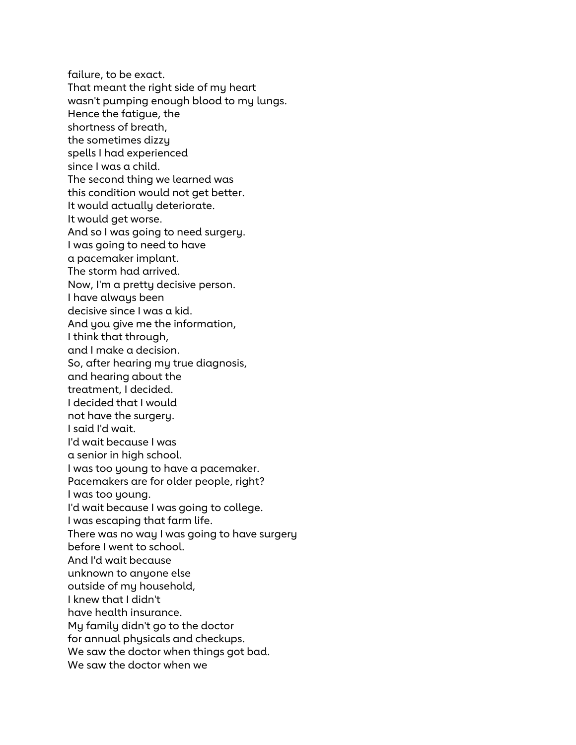failure, to be exact. That meant the right side of my heart wasn't pumping enough blood to my lungs. Hence the fatigue, the shortness of breath, the sometimes dizzy spells I had experienced since I was a child. The second thing we learned was this condition would not get better. It would actually deteriorate. It would get worse. And so I was going to need surgery. I was going to need to have a pacemaker implant. The storm had arrived. Now, I'm a pretty decisive person. I have always been decisive since I was a kid. And you give me the information, I think that through, and I make a decision. So, after hearing my true diagnosis, and hearing about the treatment, I decided. I decided that I would not have the surgery. I said I'd wait. I'd wait because I was a senior in high school. I was too young to have a pacemaker. Pacemakers are for older people, right? I was too young. I'd wait because I was going to college. I was escaping that farm life. There was no way I was going to have surgery before I went to school. And I'd wait because unknown to anyone else outside of my household, I knew that I didn't have health insurance. My family didn't go to the doctor for annual physicals and checkups. We saw the doctor when things got bad. We saw the doctor when we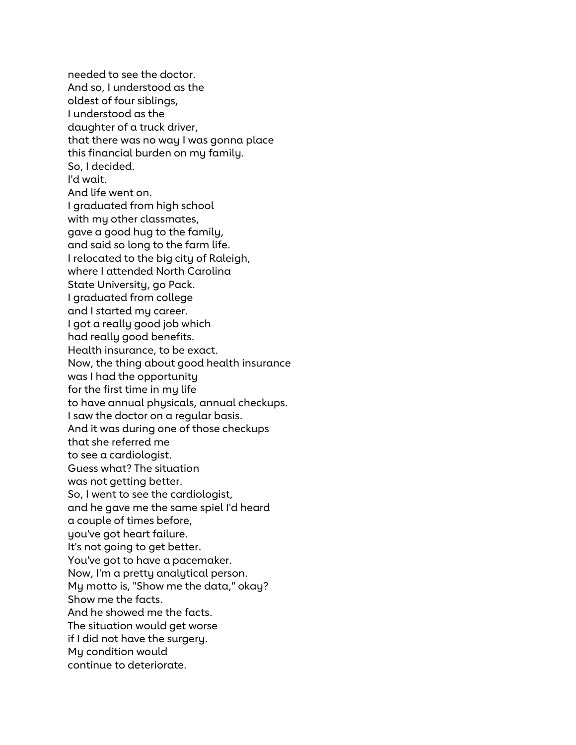needed to see the doctor. And so, I understood as the oldest of four siblings, I understood as the daughter of a truck driver, that there was no way I was gonna place this financial burden on my family. So, I decided. I'd wait. And life went on. I graduated from high school with my other classmates, gave a good hug to the family, and said so long to the farm life. I relocated to the big city of Raleigh, where I attended North Carolina State University, go Pack. I graduated from college and I started my career. I got a really good job which had really good benefits. Health insurance, to be exact. Now, the thing about good health insurance was I had the opportunity for the first time in my life to have annual physicals, annual checkups. I saw the doctor on a regular basis. And it was during one of those checkups that she referred me to see a cardiologist. Guess what? The situation was not getting better. So, I went to see the cardiologist, and he gave me the same spiel I'd heard a couple of times before, you've got heart failure. It's not going to get better. You've got to have a pacemaker. Now, I'm a pretty analytical person. My motto is, "Show me the data," okay? Show me the facts. And he showed me the facts. The situation would get worse if I did not have the surgery. My condition would continue to deteriorate.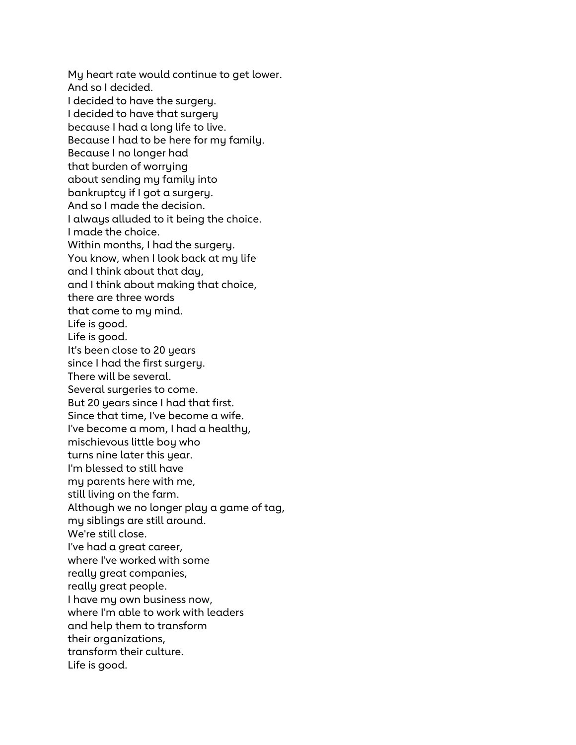My heart rate would continue to get lower. And so I decided. I decided to have the surgery. I decided to have that surgery because I had a long life to live. Because I had to be here for my family. Because I no longer had that burden of worrying about sending my family into bankruptcy if I got a surgery. And so I made the decision. I always alluded to it being the choice. I made the choice. Within months, I had the surgery. You know, when I look back at my life and I think about that day, and I think about making that choice, there are three words that come to my mind. Life is good. Life is good. It's been close to 20 years since I had the first surgery. There will be several. Several surgeries to come. But 20 years since I had that first. Since that time, I've become a wife. I've become a mom, I had a healthy, mischievous little boy who turns nine later this year. I'm blessed to still have my parents here with me, still living on the farm. Although we no longer play a game of tag, my siblings are still around. We're still close. I've had a great career, where I've worked with some really great companies, really great people. I have my own business now, where I'm able to work with leaders and help them to transform their organizations, transform their culture. Life is good.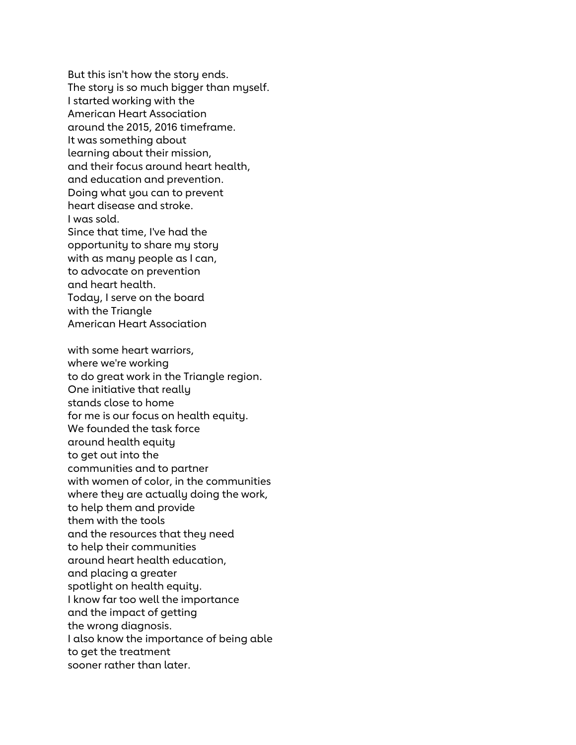But this isn't how the story ends. The story is so much bigger than myself. I started working with the American Heart Association around the 2015, 2016 timeframe. It was something about learning about their mission, and their focus around heart health, and education and prevention. Doing what you can to prevent heart disease and stroke. I was sold. Since that time, I've had the opportunity to share my story with as many people as I can, to advocate on prevention and heart health. Today, I serve on the board with the Triangle American Heart Association

with some heart warriors, where we're working to do great work in the Triangle region. One initiative that really stands close to home for me is our focus on health equity. We founded the task force around health equity to get out into the communities and to partner with women of color, in the communities where they are actually doing the work, to help them and provide them with the tools and the resources that they need to help their communities around heart health education, and placing a greater spotlight on health equity. I know far too well the importance and the impact of getting the wrong diagnosis. I also know the importance of being able to get the treatment sooner rather than later.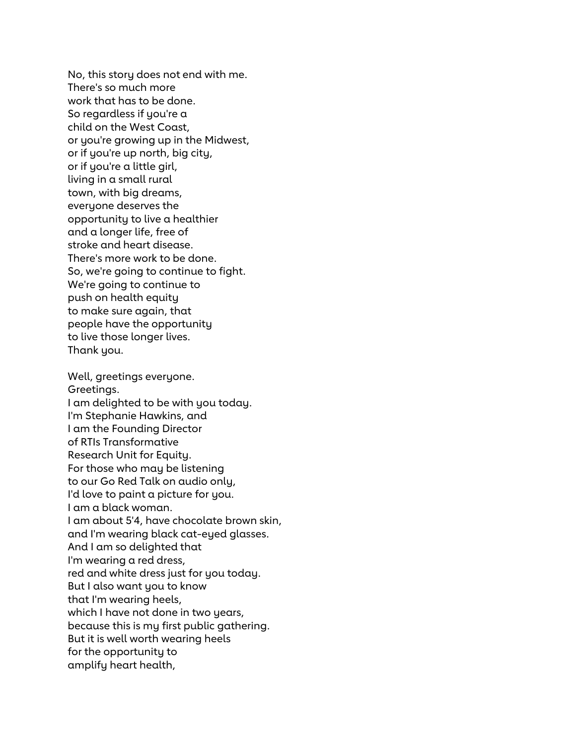No, this story does not end with me. There's so much more work that has to be done. So regardless if you're a child on the West Coast, or you're growing up in the Midwest, or if you're up north, big city, or if you're a little girl, living in a small rural town, with big dreams, everyone deserves the opportunity to live a healthier and a longer life, free of stroke and heart disease. There's more work to be done. So, we're going to continue to fight. We're going to continue to push on health equity to make sure again, that people have the opportunity to live those longer lives. Thank you.

Well, greetings everyone. Greetings. I am delighted to be with you today. I'm Stephanie Hawkins, and I am the Founding Director of RTIs Transformative Research Unit for Equity. For those who may be listening to our Go Red Talk on audio only, I'd love to paint a picture for you. I am a black woman. I am about 5'4, have chocolate brown skin, and I'm wearing black cat-eyed glasses. And I am so delighted that I'm wearing a red dress, red and white dress just for you today. But I also want you to know that I'm wearing heels, which I have not done in two years, because this is my first public gathering. But it is well worth wearing heels for the opportunity to amplify heart health,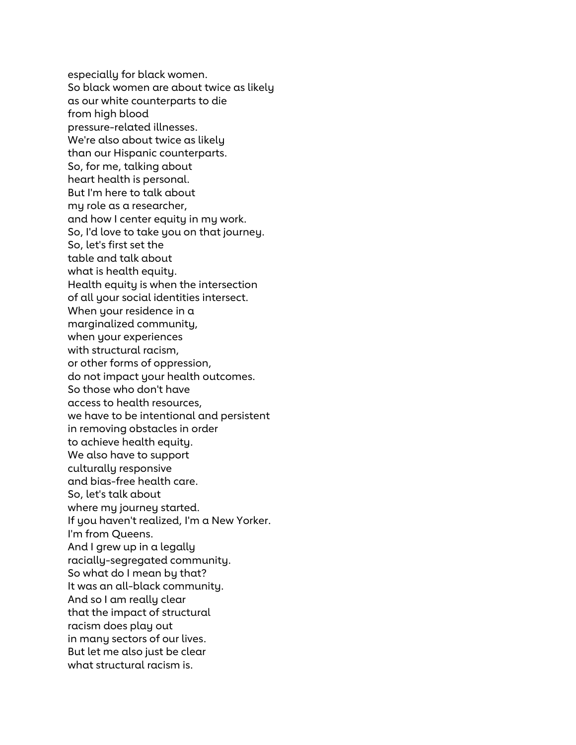especially for black women. So black women are about twice as likely as our white counterparts to die from high blood pressure-related illnesses. We're also about twice as likely than our Hispanic counterparts. So, for me, talking about heart health is personal. But I'm here to talk about my role as a researcher, and how I center equity in my work. So, I'd love to take you on that journey. So, let's first set the table and talk about what is health equity. Health equity is when the intersection of all your social identities intersect. When your residence in a marginalized community, when your experiences with structural racism, or other forms of oppression, do not impact your health outcomes. So those who don't have access to health resources, we have to be intentional and persistent in removing obstacles in order to achieve health equity. We also have to support culturally responsive and bias-free health care. So, let's talk about where my journey started. If you haven't realized, I'm a New Yorker. I'm from Queens. And I grew up in a legally racially-segregated community. So what do I mean by that? It was an all-black community. And so I am really clear that the impact of structural racism does play out in many sectors of our lives. But let me also just be clear what structural racism is.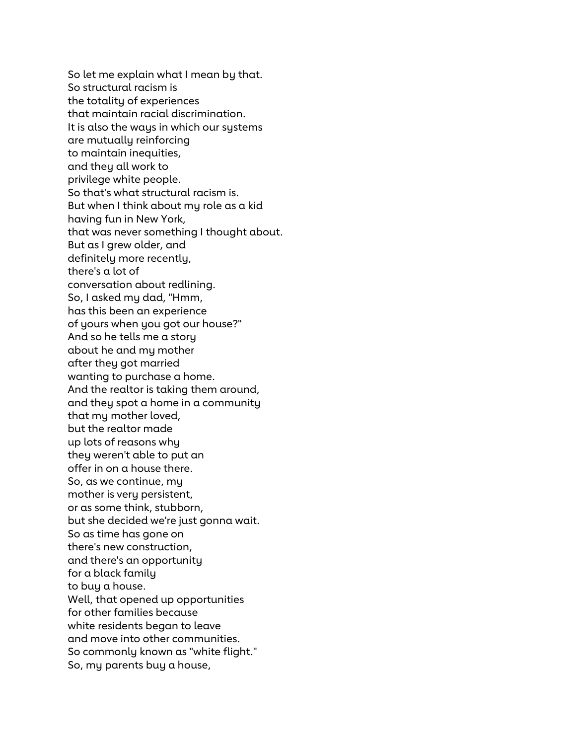So let me explain what I mean by that. So structural racism is the totality of experiences that maintain racial discrimination. It is also the ways in which our systems are mutually reinforcing to maintain inequities, and they all work to privilege white people. So that's what structural racism is. But when I think about my role as a kid having fun in New York, that was never something I thought about. But as I grew older, and definitely more recently, there's a lot of conversation about redlining. So, I asked my dad, "Hmm, has this been an experience of yours when you got our house?" And so he tells me a story about he and my mother after they got married wanting to purchase a home. And the realtor is taking them around, and they spot a home in a community that my mother loved, but the realtor made up lots of reasons why they weren't able to put an offer in on a house there. So, as we continue, my mother is very persistent, or as some think, stubborn, but she decided we're just gonna wait. So as time has gone on there's new construction, and there's an opportunity for a black family to buy a house. Well, that opened up opportunities for other families because white residents began to leave and move into other communities. So commonly known as "white flight." So, my parents buy a house,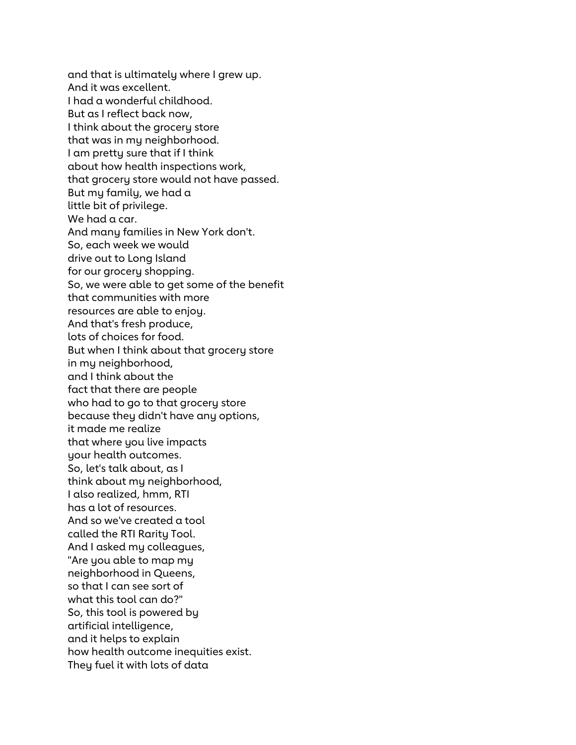and that is ultimately where I grew up. And it was excellent. I had a wonderful childhood. But as I reflect back now, I think about the grocery store that was in my neighborhood. I am pretty sure that if I think about how health inspections work, that grocery store would not have passed. But my family, we had a little bit of privilege. We had a car. And many families in New York don't. So, each week we would drive out to Long Island for our grocery shopping. So, we were able to get some of the benefit that communities with more resources are able to enjoy. And that's fresh produce, lots of choices for food. But when I think about that grocery store in my neighborhood, and I think about the fact that there are people who had to go to that grocery store because they didn't have any options, it made me realize that where you live impacts your health outcomes. So, let's talk about, as I think about my neighborhood, I also realized, hmm, RTI has a lot of resources. And so we've created a tool called the RTI Rarity Tool. And I asked my colleagues, "Are you able to map my neighborhood in Queens, so that I can see sort of what this tool can do?" So, this tool is powered by artificial intelligence, and it helps to explain how health outcome inequities exist. They fuel it with lots of data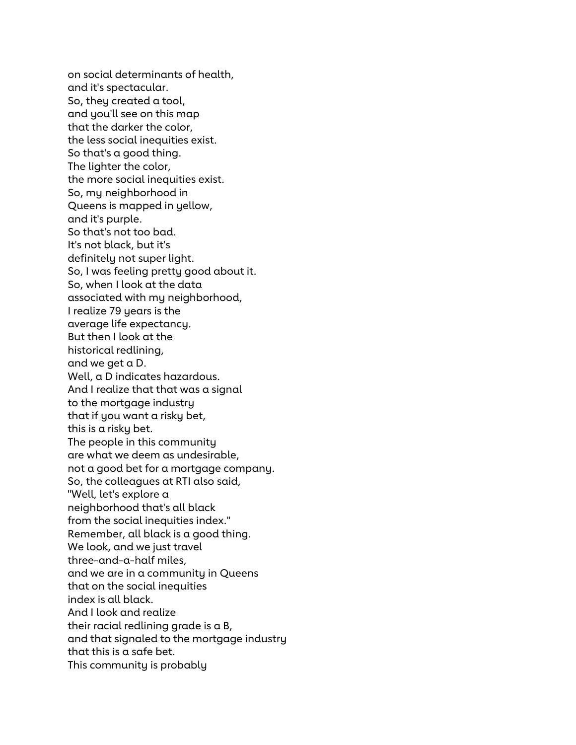on social determinants of health, and it's spectacular. So, they created a tool, and you'll see on this map that the darker the color, the less social inequities exist. So that's a good thing. The lighter the color, the more social inequities exist. So, my neighborhood in Queens is mapped in yellow, and it's purple. So that's not too bad. It's not black, but it's definitely not super light. So, I was feeling pretty good about it. So, when I look at the data associated with my neighborhood, I realize 79 years is the average life expectancy. But then I look at the historical redlining, and we get a D. Well, a D indicates hazardous. And I realize that that was a signal to the mortgage industry that if you want a risky bet, this is a risky bet. The people in this community are what we deem as undesirable, not a good bet for a mortgage company. So, the colleagues at RTI also said, "Well, let's explore a neighborhood that's all black from the social inequities index." Remember, all black is a good thing. We look, and we just travel three-and-a-half miles, and we are in a community in Queens that on the social inequities index is all black. And I look and realize their racial redlining grade is a B, and that signaled to the mortgage industry that this is a safe bet. This community is probably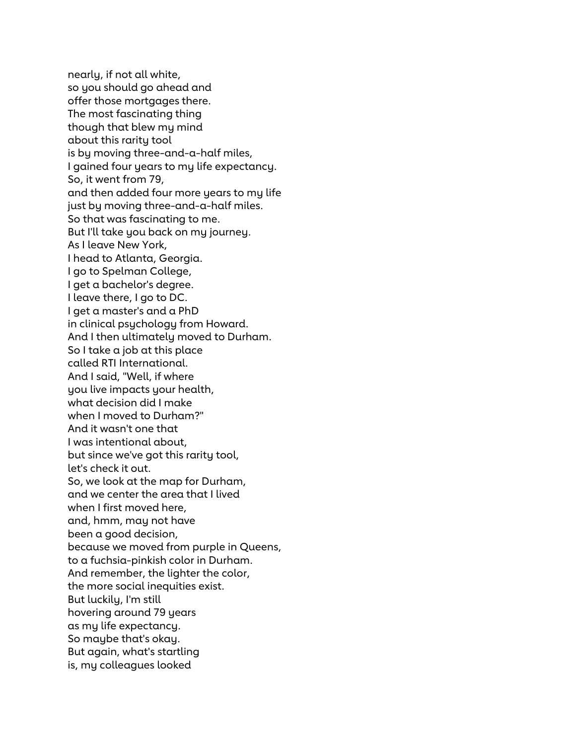nearly, if not all white, so you should go ahead and offer those mortgages there. The most fascinating thing though that blew my mind about this rarity tool is by moving three-and-a-half miles, I gained four years to my life expectancy. So, it went from 79, and then added four more years to my life just by moving three-and-a-half miles. So that was fascinating to me. But I'll take you back on my journey. As I leave New York, I head to Atlanta, Georgia. I go to Spelman College, I get a bachelor's degree. I leave there, I go to DC. I get a master's and a PhD in clinical psychology from Howard. And I then ultimately moved to Durham. So I take a job at this place called RTI International. And I said, "Well, if where you live impacts your health, what decision did I make when I moved to Durham?" And it wasn't one that I was intentional about, but since we've got this rarity tool, let's check it out. So, we look at the map for Durham, and we center the area that I lived when I first moved here, and, hmm, may not have been a good decision, because we moved from purple in Queens, to a fuchsia-pinkish color in Durham. And remember, the lighter the color, the more social inequities exist. But luckily, I'm still hovering around 79 years as my life expectancy. So maybe that's okay. But again, what's startling is, my colleagues looked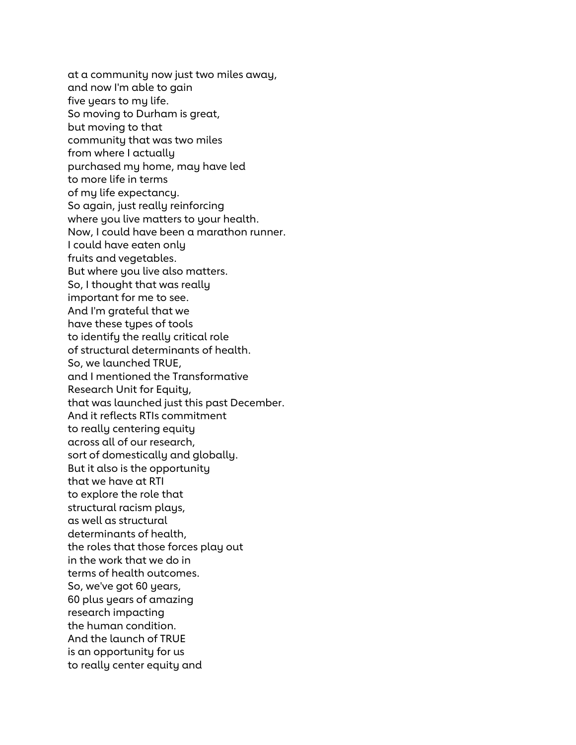at a community now just two miles away, and now I'm able to gain five years to my life. So moving to Durham is great, but moving to that community that was two miles from where I actually purchased my home, may have led to more life in terms of my life expectancy. So again, just really reinforcing where you live matters to your health. Now, I could have been a marathon runner. I could have eaten only fruits and vegetables. But where you live also matters. So, I thought that was really important for me to see. And I'm grateful that we have these types of tools to identify the really critical role of structural determinants of health. So, we launched TRUE, and I mentioned the Transformative Research Unit for Equity, that was launched just this past December. And it reflects RTIs commitment to really centering equity across all of our research, sort of domestically and globally. But it also is the opportunity that we have at RTI to explore the role that structural racism plays, as well as structural determinants of health, the roles that those forces play out in the work that we do in terms of health outcomes. So, we've got 60 years, 60 plus years of amazing research impacting the human condition. And the launch of TRUE is an opportunity for us to really center equity and